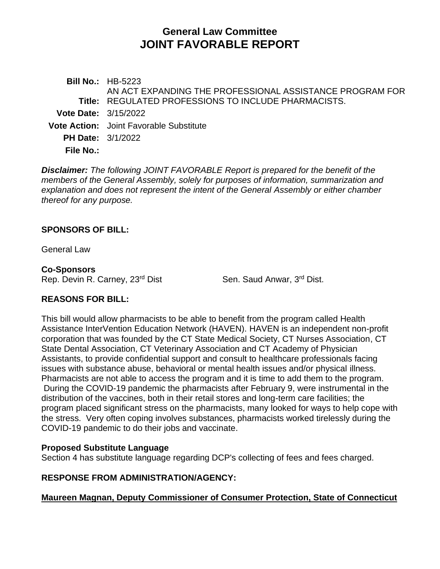# **General Law Committee JOINT FAVORABLE REPORT**

**Bill No.:** HB-5223 **Title:** REGULATED PROFESSIONS TO INCLUDE PHARMACISTS. AN ACT EXPANDING THE PROFESSIONAL ASSISTANCE PROGRAM FOR **Vote Date:** 3/15/2022 **Vote Action:** Joint Favorable Substitute **PH Date:** 3/1/2022 **File No.:**

*Disclaimer: The following JOINT FAVORABLE Report is prepared for the benefit of the members of the General Assembly, solely for purposes of information, summarization and explanation and does not represent the intent of the General Assembly or either chamber thereof for any purpose.*

#### **SPONSORS OF BILL:**

General Law

#### **Co-Sponsors**

Rep. Devin R. Carney, 23<sup>rd</sup> Dist Sen. Saud Anwar, 3<sup>rd</sup> Dist.

### **REASONS FOR BILL:**

This bill would allow pharmacists to be able to benefit from the program called Health Assistance InterVention Education Network (HAVEN). HAVEN is an independent non-profit corporation that was founded by the CT State Medical Society, CT Nurses Association, CT State Dental Association, CT Veterinary Association and CT Academy of Physician Assistants, to provide confidential support and consult to healthcare professionals facing issues with substance abuse, behavioral or mental health issues and/or physical illness. Pharmacists are not able to access the program and it is time to add them to the program. During the COVID-19 pandemic the pharmacists after February 9, were instrumental in the distribution of the vaccines, both in their retail stores and long-term care facilities; the program placed significant stress on the pharmacists, many looked for ways to help cope with the stress. Very often coping involves substances, pharmacists worked tirelessly during the COVID-19 pandemic to do their jobs and vaccinate.

#### **Proposed Substitute Language**

Section 4 has substitute language regarding DCP's collecting of fees and fees charged.

### **RESPONSE FROM ADMINISTRATION/AGENCY:**

### **Maureen Magnan, Deputy Commissioner of Consumer Protection, State of Connecticut**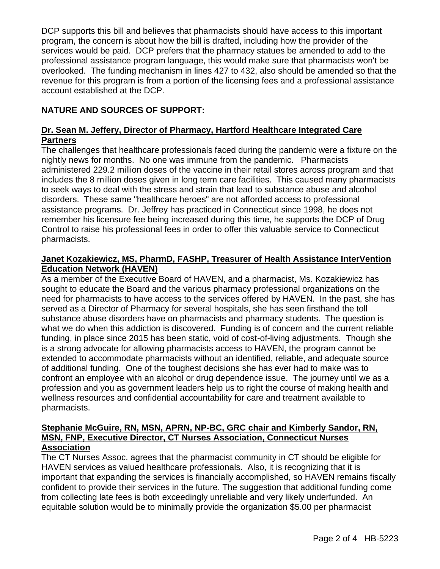DCP supports this bill and believes that pharmacists should have access to this important program, the concern is about how the bill is drafted, including how the provider of the services would be paid. DCP prefers that the pharmacy statues be amended to add to the professional assistance program language, this would make sure that pharmacists won't be overlooked. The funding mechanism in lines 427 to 432, also should be amended so that the revenue for this program is from a portion of the licensing fees and a professional assistance account established at the DCP.

# **NATURE AND SOURCES OF SUPPORT:**

# **Dr. Sean M. Jeffery, Director of Pharmacy, Hartford Healthcare Integrated Care Partners**

The challenges that healthcare professionals faced during the pandemic were a fixture on the nightly news for months. No one was immune from the pandemic. Pharmacists administered 229.2 million doses of the vaccine in their retail stores across program and that includes the 8 million doses given in long term care facilities. This caused many pharmacists to seek ways to deal with the stress and strain that lead to substance abuse and alcohol disorders. These same "healthcare heroes" are not afforded access to professional assistance programs. Dr. Jeffrey has practiced in Connecticut since 1998, he does not remember his licensure fee being increased during this time, he supports the DCP of Drug Control to raise his professional fees in order to offer this valuable service to Connecticut pharmacists.

### **Janet Kozakiewicz, MS, PharmD, FASHP, Treasurer of Health Assistance InterVention Education Network (HAVEN)**

As a member of the Executive Board of HAVEN, and a pharmacist, Ms. Kozakiewicz has sought to educate the Board and the various pharmacy professional organizations on the need for pharmacists to have access to the services offered by HAVEN. In the past, she has served as a Director of Pharmacy for several hospitals, she has seen firsthand the toll substance abuse disorders have on pharmacists and pharmacy students. The question is what we do when this addiction is discovered. Funding is of concern and the current reliable funding, in place since 2015 has been static, void of cost-of-living adjustments. Though she is a strong advocate for allowing pharmacists access to HAVEN, the program cannot be extended to accommodate pharmacists without an identified, reliable, and adequate source of additional funding. One of the toughest decisions she has ever had to make was to confront an employee with an alcohol or drug dependence issue. The journey until we as a profession and you as government leaders help us to right the course of making health and wellness resources and confidential accountability for care and treatment available to pharmacists.

#### **Stephanie McGuire, RN, MSN, APRN, NP-BC, GRC chair and Kimberly Sandor, RN, MSN, FNP, Executive Director, CT Nurses Association, Connecticut Nurses Association**

The CT Nurses Assoc. agrees that the pharmacist community in CT should be eligible for HAVEN services as valued healthcare professionals. Also, it is recognizing that it is important that expanding the services is financially accomplished, so HAVEN remains fiscally confident to provide their services in the future. The suggestion that additional funding come from collecting late fees is both exceedingly unreliable and very likely underfunded. An equitable solution would be to minimally provide the organization \$5.00 per pharmacist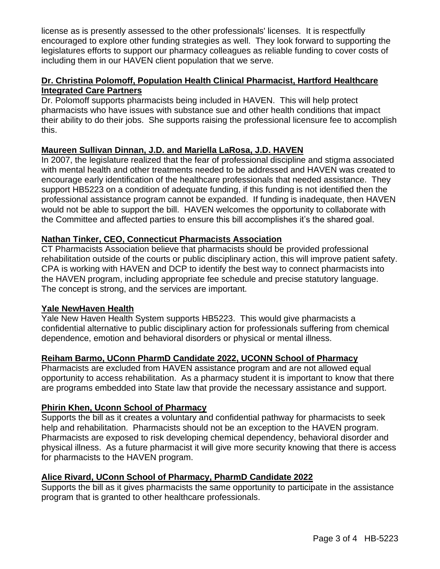license as is presently assessed to the other professionals' licenses. It is respectfully encouraged to explore other funding strategies as well. They look forward to supporting the legislatures efforts to support our pharmacy colleagues as reliable funding to cover costs of including them in our HAVEN client population that we serve.

### **Dr. Christina Polomoff, Population Health Clinical Pharmacist, Hartford Healthcare Integrated Care Partners**

Dr. Polomoff supports pharmacists being included in HAVEN. This will help protect pharmacists who have issues with substance sue and other health conditions that impact their ability to do their jobs. She supports raising the professional licensure fee to accomplish this.

### **Maureen Sullivan Dinnan, J.D. and Mariella LaRosa, J.D. HAVEN**

In 2007, the legislature realized that the fear of professional discipline and stigma associated with mental health and other treatments needed to be addressed and HAVEN was created to encourage early identification of the healthcare professionals that needed assistance. They support HB5223 on a condition of adequate funding, if this funding is not identified then the professional assistance program cannot be expanded. If funding is inadequate, then HAVEN would not be able to support the bill. HAVEN welcomes the opportunity to collaborate with the Committee and affected parties to ensure this bill accomplishes it's the shared goal.

### **Nathan Tinker, CEO, Connecticut Pharmacists Association**

CT Pharmacists Association believe that pharmacists should be provided professional rehabilitation outside of the courts or public disciplinary action, this will improve patient safety. CPA is working with HAVEN and DCP to identify the best way to connect pharmacists into the HAVEN program, including appropriate fee schedule and precise statutory language. The concept is strong, and the services are important.

#### **Yale NewHaven Health**

Yale New Haven Health System supports HB5223. This would give pharmacists a confidential alternative to public disciplinary action for professionals suffering from chemical dependence, emotion and behavioral disorders or physical or mental illness.

### **Reiham Barmo, UConn PharmD Candidate 2022, UCONN School of Pharmacy**

Pharmacists are excluded from HAVEN assistance program and are not allowed equal opportunity to access rehabilitation. As a pharmacy student it is important to know that there are programs embedded into State law that provide the necessary assistance and support.

#### **Phirin Khen, Uconn School of Pharmacy**

Supports the bill as it creates a voluntary and confidential pathway for pharmacists to seek help and rehabilitation. Pharmacists should not be an exception to the HAVEN program. Pharmacists are exposed to risk developing chemical dependency, behavioral disorder and physical illness. As a future pharmacist it will give more security knowing that there is access for pharmacists to the HAVEN program.

### **Alice Rivard, UConn School of Pharmacy, PharmD Candidate 2022**

Supports the bill as it gives pharmacists the same opportunity to participate in the assistance program that is granted to other healthcare professionals.